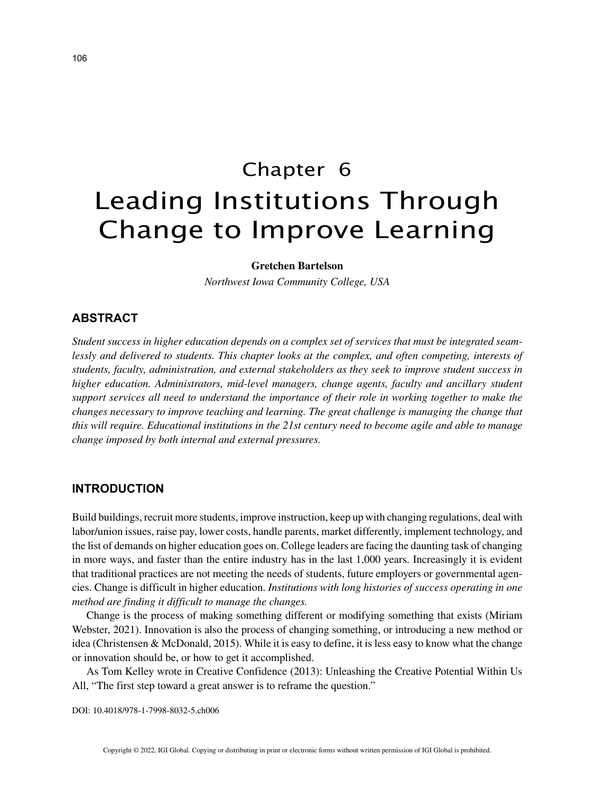# Chapter 6 Leading Institutions Through Change to Improve Learning

#### **Gretchen Bartelson**

*Northwest Iowa Community College, USA*

# **ABSTRACT**

*Student success in higher education depends on a complex set of services that must be integrated seamlessly and delivered to students. This chapter looks at the complex, and often competing, interests of students, faculty, administration, and external stakeholders as they seek to improve student success in higher education. Administrators, mid-level managers, change agents, faculty and ancillary student support services all need to understand the importance of their role in working together to make the changes necessary to improve teaching and learning. The great challenge is managing the change that this will require. Educational institutions in the 21st century need to become agile and able to manage change imposed by both internal and external pressures.*

## **INTRODUCTION**

Build buildings, recruit more students, improve instruction, keep up with changing regulations, deal with labor/union issues, raise pay, lower costs, handle parents, market differently, implement technology, and the list of demands on higher education goes on. College leaders are facing the daunting task of changing in more ways, and faster than the entire industry has in the last 1,000 years. Increasingly it is evident that traditional practices are not meeting the needs of students, future employers or governmental agencies. Change is difficult in higher education. *Institutions with long histories of success operating in one method are finding it difficult to manage the changes.*

Change is the process of making something different or modifying something that exists (Miriam Webster, 2021). Innovation is also the process of changing something, or introducing a new method or idea (Christensen & McDonald, 2015). While it is easy to define, it is less easy to know what the change or innovation should be, or how to get it accomplished.

As Tom Kelley wrote in Creative Confidence (2013): Unleashing the Creative Potential Within Us All, "The first step toward a great answer is to reframe the question."

DOI: 10.4018/978-1-7998-8032-5.ch006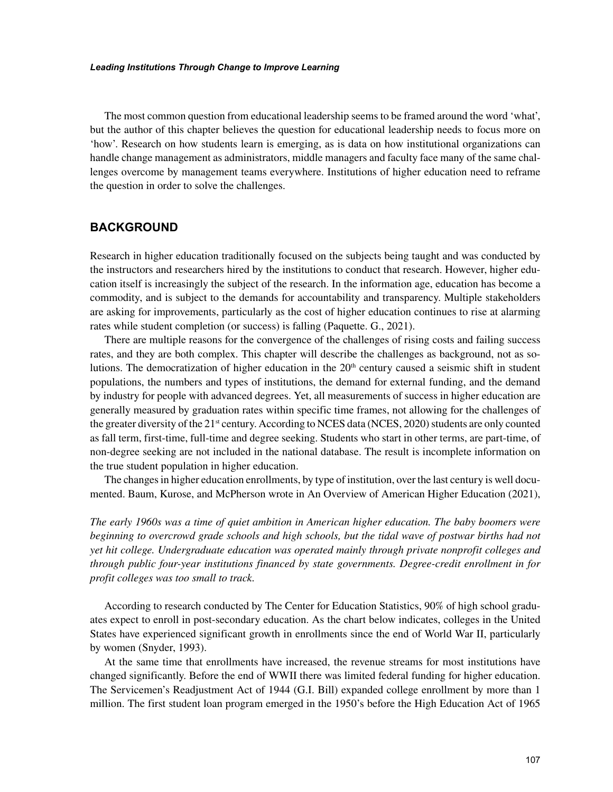The most common question from educational leadership seems to be framed around the word 'what', but the author of this chapter believes the question for educational leadership needs to focus more on 'how'. Research on how students learn is emerging, as is data on how institutional organizations can handle change management as administrators, middle managers and faculty face many of the same challenges overcome by management teams everywhere. Institutions of higher education need to reframe the question in order to solve the challenges.

# **BACKGROUND**

Research in higher education traditionally focused on the subjects being taught and was conducted by the instructors and researchers hired by the institutions to conduct that research. However, higher education itself is increasingly the subject of the research. In the information age, education has become a commodity, and is subject to the demands for accountability and transparency. Multiple stakeholders are asking for improvements, particularly as the cost of higher education continues to rise at alarming rates while student completion (or success) is falling (Paquette. G., 2021).

There are multiple reasons for the convergence of the challenges of rising costs and failing success rates, and they are both complex. This chapter will describe the challenges as background, not as solutions. The democratization of higher education in the  $20<sup>th</sup>$  century caused a seismic shift in student populations, the numbers and types of institutions, the demand for external funding, and the demand by industry for people with advanced degrees. Yet, all measurements of success in higher education are generally measured by graduation rates within specific time frames, not allowing for the challenges of the greater diversity of the 21<sup>st</sup> century. According to NCES data (NCES, 2020) students are only counted as fall term, first-time, full-time and degree seeking. Students who start in other terms, are part-time, of non-degree seeking are not included in the national database. The result is incomplete information on the true student population in higher education.

The changes in higher education enrollments, by type of institution, over the last century is well documented. Baum, Kurose, and McPherson wrote in An Overview of American Higher Education (2021),

*The early 1960s was a time of quiet ambition in American higher education. The baby boomers were beginning to overcrowd grade schools and high schools, but the tidal wave of postwar births had not yet hit college. Undergraduate education was operated mainly through private nonprofit colleges and through public four-year institutions financed by state governments. Degree-credit enrollment in for profit colleges was too small to track.*

According to research conducted by The Center for Education Statistics, 90% of high school graduates expect to enroll in post-secondary education. As the chart below indicates, colleges in the United States have experienced significant growth in enrollments since the end of World War II, particularly by women (Snyder, 1993).

At the same time that enrollments have increased, the revenue streams for most institutions have changed significantly. Before the end of WWII there was limited federal funding for higher education. The Servicemen's Readjustment Act of 1944 (G.I. Bill) expanded college enrollment by more than 1 million. The first student loan program emerged in the 1950's before the High Education Act of 1965